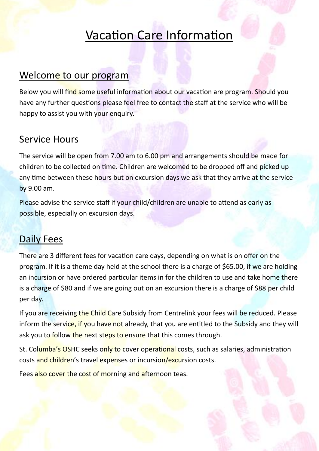# Vacation Care Information

#### Welcome to our program

Below you will find some useful information about our vacation are program. Should you have any further questions please feel free to contact the staff at the service who will be happy to assist you with your enquiry.

#### Service Hours

The service will be open from 7.00 am to 6.00 pm and arrangements should be made for children to be collected on time. Children are welcomed to be dropped off and picked up any time between these hours but on excursion days we ask that they arrive at the service by 9.00 am.

Please advise the service staff if your child/children are unable to attend as early as possible, especially on excursion days.

### Daily Fees

There are 3 different fees for vacation care days, depending on what is on offer on the program. If it is a theme day held at the school there is a charge of \$65.00, if we are holding an incursion or have ordered particular items in for the children to use and take home there is a charge of \$80 and if we are going out on an excursion there is a charge of \$88 per child per day.

If you are receiving the Child Care Subsidy from Centrelink your fees will be reduced. Please inform the service, if you have not already, that you are entitled to the Subsidy and they will ask you to follow the next steps to ensure that this comes through.

St. Columba's OSHC seeks only to cover operational costs, such as salaries, administration costs and children's travel expenses or incursion/excursion costs.

Fees also cover the cost of morning and afternoon teas.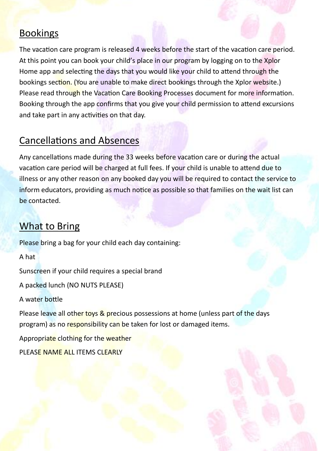#### **Bookings**

The vacation care program is released 4 weeks before the start of the vacation care period. At this point you can book your child's place in our program by logging on to the Xplor Home app and selecting the days that you would like your child to attend through the bookings section. (You are unable to make direct bookings through the Xplor website.) Please read through the Vacation Care Booking Processes document for more information. Booking through the app confirms that you give your child permission to attend excursions and take part in any activities on that day.

### Cancellations and Absences

Any cancellations made during the 33 weeks before vacation care or during the actual vacation care period will be charged at full fees. If your child is unable to attend due to illness or any other reason on any booked day you will be required to contact the service to inform educators, providing as much notice as possible so that families on the wait list can be contacted.

## What to Bring

Please bring a bag for your child each day containing:

A hat

Sunscreen if your child requires a special brand

A packed lunch (NO NUTS PLEASE)

A water bottle

Please leave all other toys & precious possessions at home (unless part of the days program) as no responsibility can be taken for lost or damaged items.

Appropriate clothing for the weather

PLEASE NAME ALL ITEMS CLEARLY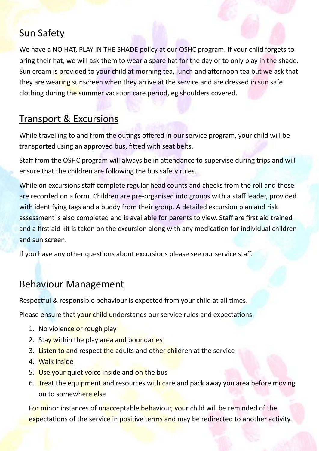## **Sun Safety**

We have a NO HAT, PLAY IN THE SHADE policy at our OSHC program. If your child forgets to bring their hat, we will ask them to wear a spare hat for the day or to only play in the shade. Sun cream is provided to your child at morning tea, lunch and afternoon tea but we ask that they are wearing sunscreen when they arrive at the service and are dressed in sun safe clothing during the summer vacation care period, eg shoulders covered.

## Transport & Excursions

While travelling to and from the outings offered in our service program, your child will be transported using an approved bus, fitted with seat belts.

Staff from the OSHC program will always be in attendance to supervise during trips and will ensure that the children are following the bus safety rules.

While on excursions staff complete regular head counts and checks from the roll and these are recorded on a form. Children are pre-organised into groups with a staff leader, provided with identifying tags and a buddy from their group. A detailed excursion plan and risk assessment is also completed and is available for parents to view. Staff are first aid trained and a first aid kit is taken on the excursion along with any medication for individual children and sun screen.

If you have any other questions about excursions please see our service staff.

#### Behaviour Management

Respectful & responsible behaviour is expected from your child at all times.

Please ensure that your child understands our service rules and expectations.

- 1. No violence or rough play
- 2. Stay within the play area and boundaries
- 3. Listen to and respect the adults and other children at the service
- 4. Walk inside
- 5. Use your quiet voice inside and on the bus
- 6. Treat the equipment and resources with care and pack away you area before moving on to somewhere else

For minor instances of unacceptable behaviour, your child will be reminded of the expectations of the service in positive terms and may be redirected to another activity.